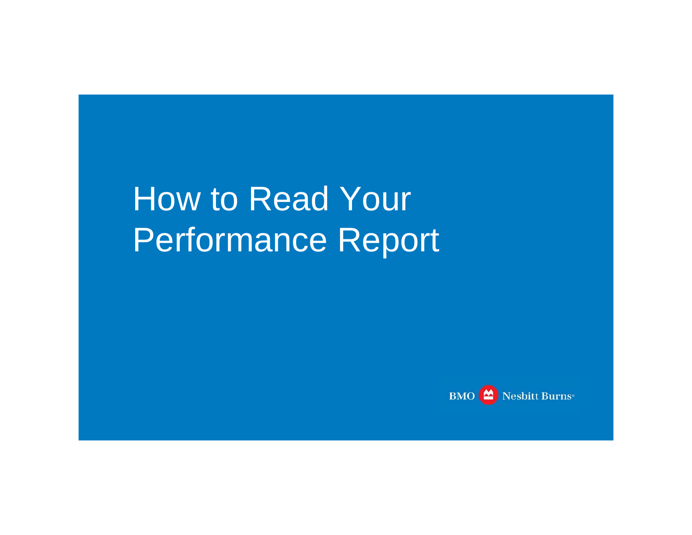How to Read Your Performance Report

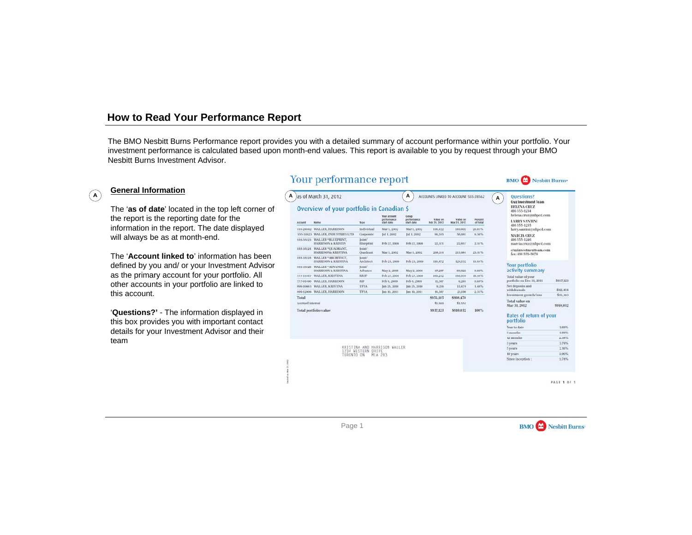The BMO Nesbitt Burns Performance report provides you with a detailed summary of account performance within your portfolio. Your investment performance is calculated based upon month-end values. This report is available to you by request through your BMO Nesbitt Burns Investment Advisor.

# $\overline{A}$

## **General Information**

The '**as of date**' located in the top left corner of the report is the reporting date for the information in the report. The date displayed will always be as at month-end.

The '**Account linked to**' information has been defined by you and/ or your Investment Advisor as the primary account for your portfolio. All other accounts in your portfolio are linked to this account.

'**Questions?'** - The information displayed in this box provides you with important contact details for your Investment Advisor and their team

## Your performance report



PAGE 1 OF 5



Nesbitt Burns

**BMO**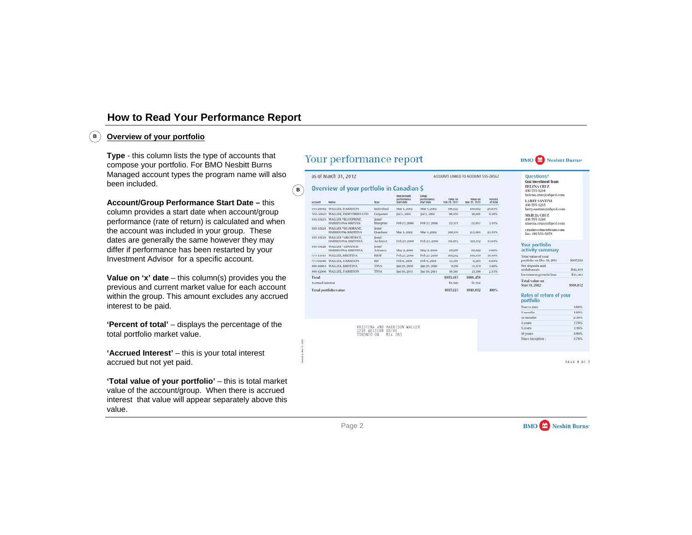## **Overview of your portfolio**

**B**

**Type** - this column lists the type of accounts that compose your portfolio. For BMO Nesbitt Burns Managed account types the program name will also been included.

**Account/Group Performance Start Date –** this column provides a start date when account/group

performance (rate of return) is calculated and when the account was included in your group. These dates are generally the same however they may differ if performance has been restarted by your Investment Advisor for a specific account.

**Value on 'x' date** – this column(s) provides you the previous and current market value for each account within the group. This amount excludes any accrued interest to be paid.

**'Percent of total'** – displays the percentage of the total portfolio market value.

**'Accrued Interest'** – this is your total interest accrued but not yet paid.

**'Total value of your portfolio'** – this is total market value of the account/group. When there is accrued interest that value will appear separately above this value.

# Your performance report

#### as of March 31, 2012

**B**

## Overview of your portfolio in Canadian \$

| Account          | Name                                      | <b>Type:</b>        | <b>Your arround</b><br>performance<br>start date | Coson<br>performance<br>start date | Value on<br>Feb 29, 2012 | Value on<br>Mar 31, 2012 | Percent<br>of total |
|------------------|-------------------------------------------|---------------------|--------------------------------------------------|------------------------------------|--------------------------|--------------------------|---------------------|
| 555-28562        | <b>WALLER, HARRISON</b>                   | Individual          | Mar 1, 2002                                      | Mar 1, 2002                        | 198,422                  | 189,602                  | $20.83\%$           |
| 555-31823        | WALLER, INDUSTRIES LTD                    | Corporate           | Jul 1, 2002                                      | Jul 1, 2002                        | 96,355                   | 55,051                   | 6.38%               |
| 555-35123        | WALLER *BLUEPRINT.<br>HARRISON & KRISTIN  | loint/<br>Blueprint | Feb 27, 2008                                     | Feb 27, 2008                       | 22,371                   | 22,857                   | 2.51%               |
| 555-35124        | WALLER *OUADRANT,<br>HARRISONA KRISTINA   | loint/<br>Ouadrant  | Mar 1, 2002                                      | Mar 1, 2002                        | 208,114                  | 213, 984                 | 23.51%              |
| 555-35125        | WALLER *ARCHITECT.<br>HARRISON & KRISTINA | Inint/<br>Architect | Feb 23, 2009                                     | Feb 23, 2009.                      | 116,472                  | 124,132                  | 13.64%              |
| 555-35126        | WALLER *ADVANCE<br>HARRISON & KRISTINA    | Ioint/<br>Advance   | May 2, 2008                                      | May 2, 2008                        | 87,297                   | 89,922                   | 9,88%               |
| 777-15547        | <b>WALLER, KRISTINA</b>                   | <b>RRSP</b>         | Feb 27, 2008                                     | Feb 27, 2008                       | 169,242                  | 168,939                  | 18.56%              |
| 777-01460        | <b>WALLER, HARRISON</b>                   | RIF                 | Feb 9, 2009                                      | Feb 9, 2009                        | 11,307                   | 6,285                    | 0.69%               |
| 999-10963        | <b>WALLER, KRISTINA</b>                   | <b>TFSA</b>         | lan 25, 2010                                     | lan 25, 2010                       | 0,216                    | 13,479                   | $1.48\%$            |
| 999-12006        | <b>WALLER, HARRISON</b>                   | <b>TFSA</b>         | lan 10, 2011                                     | lan 10, 2011                       | 16,387                   | 21,198                   | 2.33%               |
| Total            |                                           |                     |                                                  |                                    | \$935,183                | \$908.478                |                     |
| Accrued interest |                                           |                     |                                                  |                                    | \$1,940                  | \$1,554                  |                     |
|                  | <b>Total portfolio value</b>              |                     |                                                  |                                    | \$937,123                | \$910.032                | 100%                |

KRISTINA AND HARRISON WALLER 1234 WESTERN DRIVE<br>TORONTO ON MIA 283



#### Questions?

ACCOUNTS LINKED TO ACCOUNT 555-28562

Cruz Investment Team HELENA CRUZ 416 555-1234

helena.cruz@nbncd.com **LARRY SANTINI** 416 555-1235

larry.santini@nbpcd.com MARCIA CRUZ

416 555-1246 marcia.cruz@nbpcd.com

cruzinvestmentteam.com fax: 416 555-5678

#### **Your portfolio** activity summary

| Total value of your<br>portfolio on Dec 31, 2011 | \$937,123 |
|--------------------------------------------------|-----------|
| Net deposits and<br>withdrawals                  | S42,454   |
| Investment growth/loss                           | \$15,363  |
| <b>Total value on</b><br>Mar 31, 2012            | \$910,032 |

#### Rates of return of your portfolio

| Year to date     | 1.66%    |
|------------------|----------|
| 3 months         | 1.69%    |
| 12 months        | 2,38%    |
| 3 years          | 7.79%    |
| 5 years          | 2.16%    |
| 10 years         | $3.90\%$ |
| Since inception: | 3.78%    |
|                  |          |

**PAGE 1 OF 5** 

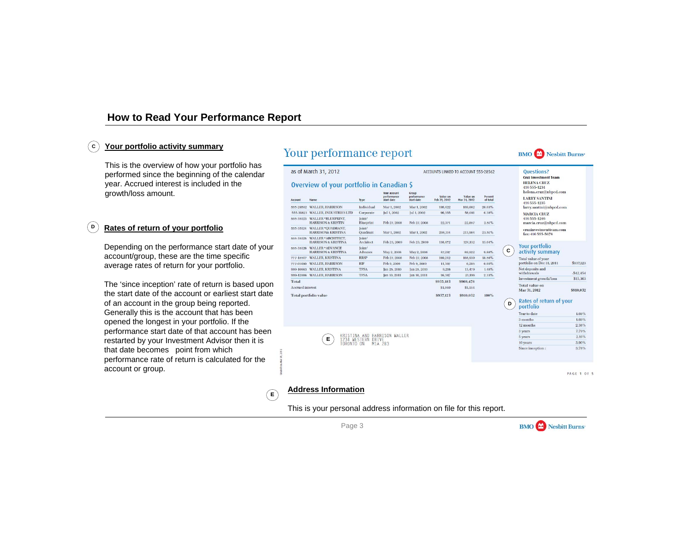#### **Your portfolio activity summary C**

This is the overview of how your portfolio has performed since the beginning of the calendar year. Accrued interest is included in the growth/loss amount.

#### **Rates of return of your portfolio D**

Depending on the performance start date of your account/group, these are the time specific average rates of return for your portfolio.

The 'since inception' rate of return is based upon the start date of the account or earliest start date of an account in the group being reported. Generally this is the account that has been opened the longest in your portfolio. If the performance start date of that account has been restarted by your Investment Advisor then it is that date becomes point from which performance rate of return is calculated for the account or group.

# Your performance report

#### as of March 31, 2012

### Overview of your portfolio in Canadian \$

| Account                 | <b>Name</b>                                                 | <b>Type</b>               | <b>Your account</b><br>performance<br>start date | Group<br>performance<br>start date | Value on<br>Feb 29, 2012 | Value on<br>Mar 31, 2012 | Percent<br>of total |
|-------------------------|-------------------------------------------------------------|---------------------------|--------------------------------------------------|------------------------------------|--------------------------|--------------------------|---------------------|
| 555-28562               | <b>WALLER, HARRISON</b>                                     | Individual                | Mar 1, 2002                                      | Mar 1, 2002                        | 198,422                  | 189,602                  | 20.83%              |
| 555-31823               | <b>WALLER, INDUSTRIES LTD</b>                               | Corporate                 | Jul 1, 2002                                      | Jul 1, 2002                        | 96,355                   | 58,081                   | 6.38%               |
| 555-35123               | <b>WALLER *BLUEPRINT,</b><br><b>HARRISON &amp; KRISTIN</b>  | Joint/<br>Blueprint       | Feb 27, 2008                                     | Feb 27, 2008                       | 22.371                   | 22,857                   | 2.51%               |
| 555-35124               | <b>WALLER *OUADRANT.</b><br><b>HARRISON&amp; KRISTINA</b>   | Joint/<br><b>Ouadrant</b> | Mar 1, 2002                                      | Mar 1, 2002                        | 208,114                  | 213,984                  | 23.51%              |
| 555-35125               | <b>WALLER *ARCHITECT.</b><br><b>HARRISON &amp; KRISTINA</b> | Joint/<br>Architect       | Feb 23, 2009                                     | Feb 23, 2009                       | 116,472                  | 124,132                  | 13.64%              |
| 555-35126               | <b>WALLER *ADVANCE</b><br><b>HARRISON &amp; KRISTINA</b>    | Joint/<br>Advance         | May 2, 2008                                      | May 2, 2008                        | 87.297                   | 89,922                   | 9.88%               |
| 777-15547               | <b>WALLER, KRISTINA</b>                                     | <b>RRSP</b>               | Feb 27, 2008                                     | Feb 27, 2008                       | 169.242                  | 168,939                  | 18.56%              |
| 777-01460               | <b>WALLER, HARRISON</b>                                     | <b>RIF</b>                | Feb 9, 2009                                      | Feb 9, 2009                        | 11,307                   | 6,285                    | 0.69%               |
| 999-10663               | <b>WALLER, KRISTINA</b>                                     | <b>TFSA</b>               | lan 25, 2010                                     | Jan 25, 2010                       | 9.216                    | 13,479                   | 1.48%               |
| 999-12006               | <b>WALLER, HARRISON</b>                                     | <b>TFSA</b>               | Jan 10, 2011                                     | Jan 10, 2011                       | 16,387                   | 21,198                   | 2.33%               |
| Total                   |                                                             |                           |                                                  |                                    | \$935,183                | \$908,478                |                     |
| <b>Accrued</b> interest |                                                             |                           |                                                  |                                    | S1,940                   | \$1,554                  |                     |
|                         | <b>Total portfolio value</b>                                |                           | \$937,123                                        | \$910,032                          | 100%                     |                          |                     |





#### **Ouestions?**

**Cruz Investment Team** HELENA CRITZ 416 555-1234 helena.cruz@nbpcd.com

**LARRY SANTINI** 416 555-1235

larry.santini@nbpcd.com MARCIA CRUZ

416 555-1246 marcia.cruz@nbpcd.com

cruzinvestmentteam.com fax: 416 555-5678

#### **Your portfolio** activity summary

**C**

ACCOUNTS LINKED TO ACCOUNT 555-28562

| <b>Total value on</b><br>Mar 31, 2012            | S910,032   |
|--------------------------------------------------|------------|
| Investment growth/loss                           | \$15,363   |
| Net deposits and<br>withdrawals                  | $-542.454$ |
| Total value of your<br>portfolio on Dec 31, 2011 | \$937,123  |

#### Rates of return of your **D**portfolio

| Year to date     | 1.69%    |  |  |
|------------------|----------|--|--|
| 3 months         | 1.69%    |  |  |
| 12 months        | 2.38%    |  |  |
| 3 years          | 7.79%    |  |  |
| 5 years          | $2.16\%$ |  |  |
| 10 years         | 3.90%    |  |  |
| Since inception: | 3.78%    |  |  |

**PAGE 1 OF 5** 

## **Address Information**

(E

This is your personal address information on file for this report.

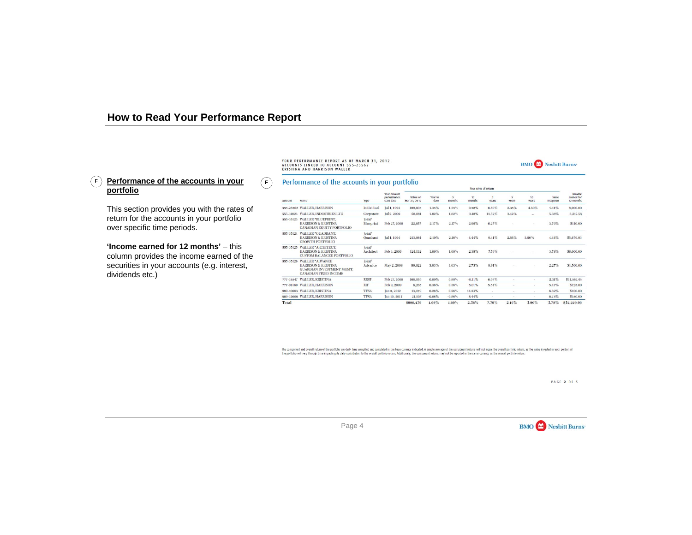## F)<u>Performance of the accounts in your</u> *(*F **portfolio**

**F**

This section provides you with the rates of return for the accounts in your portfolio over specific time periods.

**'Income earned for 12 months'** – this column provides the income earned of the securities in your accounts (e.g. interest, dividends etc.)

YOUR PERFORMANCE REPORT AS OF MARCH 31, 2012 ACCOUNTS LINKED TO ACCOUNT 555-25562 **KRISTINA AND HARRISON WALLER** 

### Performance of the accounts in your portfolio

|           |                                                                                                                              | Type                |                                                  | $10.91$ $10.123$ $0.123$ |                 |             |              |            |                          |                          |                    |                                   |
|-----------|------------------------------------------------------------------------------------------------------------------------------|---------------------|--------------------------------------------------|--------------------------|-----------------|-------------|--------------|------------|--------------------------|--------------------------|--------------------|-----------------------------------|
| Account   | Name                                                                                                                         |                     | <b>Your account</b><br>performance<br>start date | Value on<br>Mar 31, 2012 | Year to<br>date | 3<br>months | 12<br>months | 3<br>vears | 5<br>vears               | 10<br>vears              | Since<br>inception | Income<br>earned for<br>12 months |
|           | 555-28562 WALLER, HARRISON                                                                                                   | Individual          | Jul 1, 1994                                      | 189,605                  | 1.35%           | 1.35%       | 0.58%        | 6.80%      | 2.35%                    | 4.80%                    | 9.11%              | 8,000.00                          |
| 555-31823 | <b>WALLER, INDUSTRIES LTD</b>                                                                                                | Corporate           | Jul 2, 2002                                      | 58,081                   | 1.82%           | 1.82%       | 3.18%        | 11.52%     | 3.42%                    | $\overline{\phantom{a}}$ | 5.38%              | 3,217.58                          |
| 555-35123 | <b>WALLER *BLUEPRINT.</b><br><b>HARRISON &amp; KRISTINA</b><br><b>CANADIAN EOUITY PORTFOLIO</b>                              | Joint/<br>Blueprint | Feb 27, 2008                                     | 22,857                   | 2.17%           | 2.17%       | 2.99%        | 6.27%      | ×.                       | $\sim$                   | 3.70%              | \$110.00                          |
| 555-35124 | WALLER *QUADRANT,<br><b>HARRISON &amp; KRISTINA</b><br><b>GROWTH PORTFOLIO</b>                                               | Ioin<br>Ouadrant    | Jul 1, 1994                                      | 213,984                  | 2.10%           | 2.10%       | 4.44%        | 9.41%      | 2.55%                    | 3.50%                    | 4.44%              | \$5,679.93                        |
| 555-35125 | <b>WALLER *ARCHITECT.</b><br><b>HARRISON &amp; KRISTINA</b><br><b>CUSTOM BALANCED PORTFOLIO</b>                              | Joint/<br>Architect | Feb 3, 2006                                      | 124,132                  | 1.69%           | 1.69%       | 2.38%        | 7.79%      |                          |                          | 3.78%              | \$8,000.00                        |
| 555-35126 | <b>WALLER *ADVANCE</b><br><b>HARRISON &amp; KRISTINA</b><br><b>GUARDIAN INVESTMENT MGMT.</b><br><b>CANADIAN FIXED INCOME</b> | Joint/<br>Advance   | May 2, 2008                                      | 89,922                   | 3.03%           | 3.03%       | 2.73%        | 8.61%      | $\overline{\phantom{a}}$ |                          | 2.27%              | \$4,500.00                        |
| 777-15547 | <b>WALLER, KRISTINA</b>                                                                                                      | <b>RRSP</b>         | Feb 27, 2008                                     | 168,939                  | $0.89\%$        | 0.89%       | $-0.11\%$    | 6.07%      |                          | $\overline{\phantom{a}}$ | 2.31%              | \$11,567.45                       |
|           | 777-01460 WALLER, HARRISON                                                                                                   | RIF                 | Feb 9, 2009                                      | 6.285                    | $0.36\%$        | 0.36%       | 5.01%        | 5.54%      | $\sim$                   | $\sim$                   | 5.47%              | \$125.00                          |
|           | 999-10663 WALLER, KRISTINA                                                                                                   | <b>TFSA</b>         | Jan 5, 2012                                      | 13,479                   | $0.26\%$        | 0.26%       | 14.24%       | $\sim$     | $\sim$                   | $\sim$                   | 6.32%              | \$100.00                          |
|           | 999-12006 WALLER, HARRISON                                                                                                   | <b>TFSA</b>         | Jan 10, 2011                                     | 21,198                   | $-0.86\%$       | $-0.86\%$   | 8.44%        | ×.         | $\sim$                   | $\sim$                   | 6.75%              | \$150.00                          |
| Total     |                                                                                                                              |                     |                                                  | \$908,479                | 1.69%           | 1.69%       | $2.38\%$     | 7.79%      | $2.16\%$                 | 3.90%                    | 3.78%              | \$35,559.96                       |

**Marine and and and and continued** 

The component and overall return of the portfolio are daily time weighted and calculated in the base currency indicated. A simple average of the component returns will not equal the overall portfolio return, as the value i the portfolio will vary through time impacting its daily contribution to the overall portfolio return. Additionally, the component returns may not be reported in the same currency as the overall portfolio return.

PAGE 2 OF 5



**BMO** Nesbitt Burns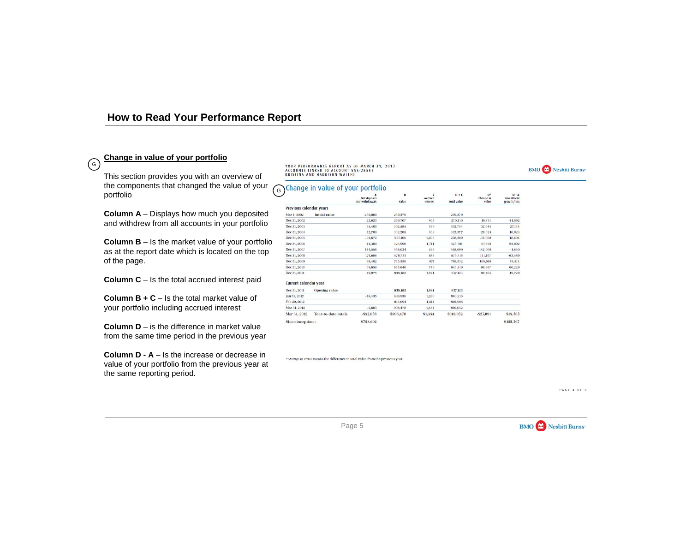## **Change in value of your portfolio**

G

This section provides you with an overview of the components that changed the value of your portfolio

**Column A** – Displays how much you deposited and withdrew from all accounts in your portfolio

**Column B** – Is the market value of your portfolio as at the report date which is located on the top of the page.

**Column C** – Is the total accrued interest paid

**Column B + C** – Is the total market value of your portfolio including accrued interest

**Column D** – is the difference in market value from the same time period in the previous year

**Column D - A** – Is the increase or decrease in value of your portfolio from the previous year at the same reporting period.

YOUR PERFORMANCE REPORT AS OF MARCH 31, 2012 ACCOUNTS LINKED TO ACCOUNT 555-25562 **KRISTINA AND HARRISON WALLER** 

## G Change in value of your portfolio

|                         |                      | A<br>Net deposits<br>and withdrawals | B<br>Value | $\epsilon$<br>Accrued | $B + C$<br><b>Total value</b> | $D^*$<br>Change in | $D - A$<br>Investment |
|-------------------------|----------------------|--------------------------------------|------------|-----------------------|-------------------------------|--------------------|-----------------------|
|                         |                      |                                      |            | interest              |                               | value              | growth/loss           |
| Previous calendar years |                      |                                      |            |                       |                               |                    |                       |
| Mar 1, 2002             | <b>Initial</b> value | 250,000                              | 259,379    |                       | 259,379                       |                    |                       |
| Dec 31, 2002            |                      | 22,623                               | 269,707    | 403                   | 270,110                       | 10,731             | $-11,892$             |
| Dec 31, 2003            |                      | 55,400                               | 302,585    | 169                   | 302,754                       | 32.644             | 27,144                |
| Dec 31, 2004            |                      | 12,700                               | 332.208    | 169                   | 332,377                       | 29.623             | 16.923                |
| Dec 31, 2005            |                      | $-92,672$                            | 257,106    | 1,203                 | 258,309                       | $-74,068$          | 18,604                |
| Dec 31, 2006            |                      | 44,300                               | 323,990    | 1.711                 | 325,701                       | 67,392             | 23,092                |
| Dec 31, 2007            |                      | 144.558                              | 468,034    | 575                   | 468,609                       | 142,908            | $-1,650$              |
| Dec 31, 2008            |                      | 174,696                              | 578,731    | 985                   | 579,716                       | 111,107            | $-63,589$             |
| Dec 31, 2009            |                      | 88,402                               | 745,558    | 974                   | 746,532                       | 166,816            | 78,414                |
| Dec 31, 2010            |                      | 39,658                               | 845,640    | 779                   | 846,419                       | 99,887             | 60,229                |
| Dec 31, 2011            |                      | 70,975                               | 935,182    | 1,941                 | 937,123                       | 90,704             | 19,729                |
| Current calendar year   |                      |                                      |            |                       |                               |                    |                       |
| Dec 31, 2011            | <b>Opening value</b> |                                      | 935,182    | 1,941                 | 937,123                       |                    |                       |
| Jan 31, 2012            |                      | $-46.435$                            | 898,936    | 1.280                 | 900.216                       |                    |                       |
| Feb 29, 2012            |                      |                                      | 915,094    | 1,814                 | 916,908                       |                    |                       |
| Mar 31, 2012            |                      | $-5,603$                             | 908,478    | 1.554                 | 910,032                       |                    |                       |
| Mar 31, 2012            | Year-to-date totals  | $-552.038$                           | \$908,478  | \$1,554               | \$910,032                     | $-$ \$27,091       | \$15,363              |
| Since inception:        |                      | \$758,602                            |            |                       |                               |                    | \$182,367             |

\*Change in value means the difference in total value from the previous year.

PAGE 3 OF 5



**BMO** Nesbitt Burns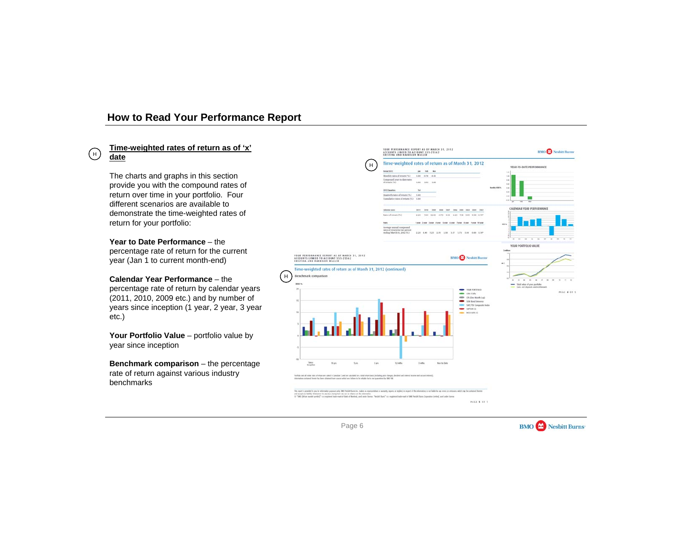# **Time-weighted rates of return as of 'x' date**

H

The charts and graphs in this section provide you with the compound rates of return over time in your portfolio. Four different scenarios are available to demonstrate the time-weighted rates of return for your portfolio:

**Year to Date Performance** – the percentage rate of return for the current year (Jan 1 to current month-end)

**Calendar Year Performance** – the percentage rate of return by calendar years (2011, 2010, 2009 etc.) and by number of years since inception (1 year, 2 year, 3 year etc.)

Your Portfolio Value - portfolio value by year since inception

**Benchmark comparison** – the percentage rate of return against various industry benchmarks